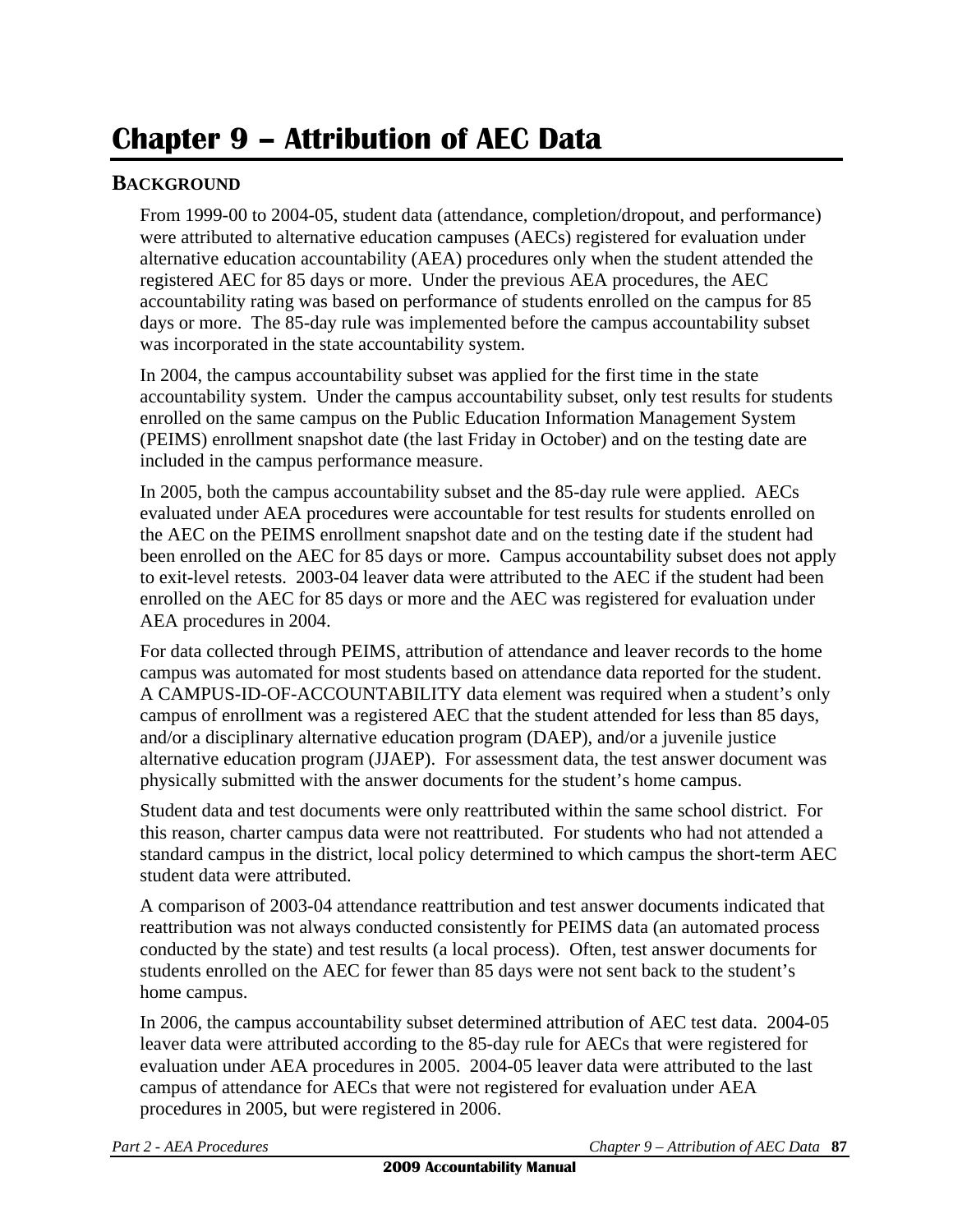## **Chapter 9 – Attribution of AEC Data**

## **BACKGROUND**

From 1999-00 to 2004-05, student data (attendance, completion/dropout, and performance) were attributed to alternative education campuses (AECs) registered for evaluation under alternative education accountability (AEA) procedures only when the student attended the registered AEC for 85 days or more. Under the previous AEA procedures, the AEC accountability rating was based on performance of students enrolled on the campus for 85 days or more. The 85-day rule was implemented before the campus accountability subset was incorporated in the state accountability system.

In 2004, the campus accountability subset was applied for the first time in the state accountability system. Under the campus accountability subset, only test results for students enrolled on the same campus on the Public Education Information Management System (PEIMS) enrollment snapshot date (the last Friday in October) and on the testing date are included in the campus performance measure.

In 2005, both the campus accountability subset and the 85-day rule were applied. AECs evaluated under AEA procedures were accountable for test results for students enrolled on the AEC on the PEIMS enrollment snapshot date and on the testing date if the student had been enrolled on the AEC for 85 days or more. Campus accountability subset does not apply to exit-level retests. 2003-04 leaver data were attributed to the AEC if the student had been enrolled on the AEC for 85 days or more and the AEC was registered for evaluation under AEA procedures in 2004.

For data collected through PEIMS, attribution of attendance and leaver records to the home campus was automated for most students based on attendance data reported for the student. A CAMPUS-ID-OF-ACCOUNTABILITY data element was required when a student's only campus of enrollment was a registered AEC that the student attended for less than 85 days, and/or a disciplinary alternative education program (DAEP), and/or a juvenile justice alternative education program (JJAEP). For assessment data, the test answer document was physically submitted with the answer documents for the student's home campus.

Student data and test documents were only reattributed within the same school district. For this reason, charter campus data were not reattributed. For students who had not attended a standard campus in the district, local policy determined to which campus the short-term AEC student data were attributed.

A comparison of 2003-04 attendance reattribution and test answer documents indicated that reattribution was not always conducted consistently for PEIMS data (an automated process conducted by the state) and test results (a local process). Often, test answer documents for students enrolled on the AEC for fewer than 85 days were not sent back to the student's home campus.

In 2006, the campus accountability subset determined attribution of AEC test data. 2004-05 leaver data were attributed according to the 85-day rule for AECs that were registered for evaluation under AEA procedures in 2005. 2004-05 leaver data were attributed to the last campus of attendance for AECs that were not registered for evaluation under AEA procedures in 2005, but were registered in 2006.